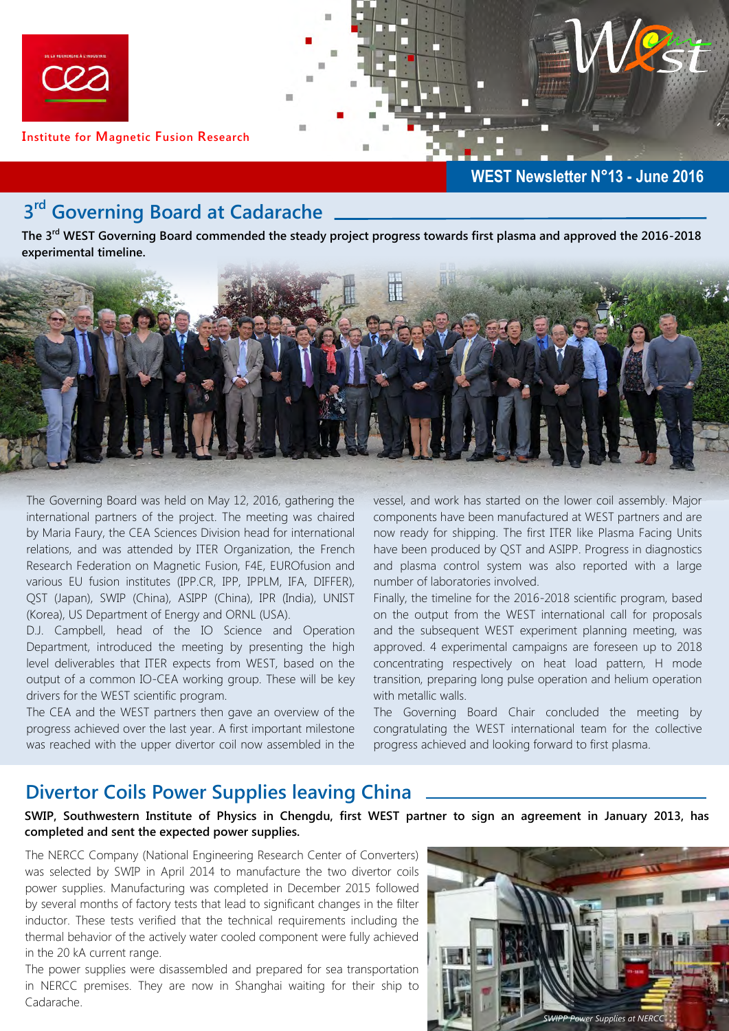

### **WEST Newsletter N°13 - June 2016**

# **3 rd Governing Board at Cadarache**

**The 3rd WEST Governing Board commended the steady project progress towards first plasma and approved the 2016-2018 experimental timeline.**



The Governing Board was held on May 12, 2016, gathering the international partners of the project. The meeting was chaired by Maria Faury, the CEA Sciences Division head for international relations, and was attended by ITER Organization, the French Research Federation on Magnetic Fusion, F4E, EUROfusion and various EU fusion institutes (IPP.CR, IPP, IPPLM, IFA, DIFFER), QST (Japan), SWIP (China), ASIPP (China), IPR (India), UNIST (Korea), US Department of Energy and ORNL (USA).

D.J. Campbell, head of the IO Science and Operation Department, introduced the meeting by presenting the high level deliverables that ITER expects from WEST, based on the output of a common IO-CEA working group. These will be key drivers for the WEST scientific program.

The CEA and the WEST partners then gave an overview of the progress achieved over the last year. A first important milestone was reached with the upper divertor coil now assembled in the vessel, and work has started on the lower coil assembly. Major components have been manufactured at WEST partners and are now ready for shipping. The first ITER like Plasma Facing Units have been produced by QST and ASIPP. Progress in diagnostics and plasma control system was also reported with a large number of laboratories involved.

Finally, the timeline for the 2016-2018 scientific program, based on the output from the WEST international call for proposals and the subsequent WEST experiment planning meeting, was approved. 4 experimental campaigns are foreseen up to 2018 concentrating respectively on heat load pattern, H mode transition, preparing long pulse operation and helium operation with metallic walls.

The Governing Board Chair concluded the meeting by congratulating the WEST international team for the collective progress achieved and looking forward to first plasma.

## **Divertor Coils Power Supplies leaving China**

**SWIP, Southwestern Institute of Physics in Chengdu, first WEST partner to sign an agreement in January 2013, has completed and sent the expected power supplies.**

The NERCC Company (National Engineering Research Center of Converters) was selected by SWIP in April 2014 to manufacture the two divertor coils power supplies. Manufacturing was completed in December 2015 followed by several months of factory tests that lead to significant changes in the filter inductor. These tests verified that the technical requirements including the thermal behavior of the actively water cooled component were fully achieved in the 20 kA current range.

The power supplies were disassembled and prepared for sea transportation in NERCC premises. They are now in Shanghai waiting for their ship to Cadarache.